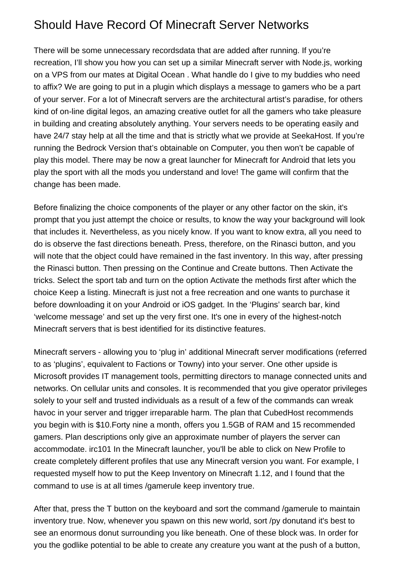## Should Have Record Of Minecraft Server Networks

There will be some unnecessary recordsdata that are added after running. If you're recreation, I'll show you how you can set up a similar Minecraft server with Node.js, working on a VPS from our mates at Digital Ocean . What handle do I give to my buddies who need to affix? We are going to put in a plugin which displays a message to gamers who be a part of your server. For a lot of Minecraft servers are the architectural artist's paradise, for others kind of on-line digital legos, an amazing creative outlet for all the gamers who take pleasure in building and creating absolutely anything. Your servers needs to be operating easily and have 24/7 stay help at all the time and that is strictly what we provide at SeekaHost. If you're running the Bedrock Version that's obtainable on Computer, you then won't be capable of play this model. There may be now a great launcher for Minecraft for Android that lets you play the sport with all the mods you understand and love! The game will confirm that the change has been made.

Before finalizing the choice components of the player or any other factor on the skin, it's prompt that you just attempt the choice or results, to know the way your background will look that includes it. Nevertheless, as you nicely know. If you want to know extra, all you need to do is observe the fast directions beneath. Press, therefore, on the Rinasci button, and you will note that the object could have remained in the fast inventory. In this way, after pressing the Rinasci button. Then pressing on the Continue and Create buttons. Then Activate the tricks. Select the sport tab and turn on the option Activate the methods first after which the choice Keep a listing. Minecraft is just not a free recreation and one wants to purchase it before downloading it on your Android or iOS gadget. In the 'Plugins' search bar, kind 'welcome message' and set up the very first one. It's one in every of the highest-notch Minecraft servers that is best identified for its distinctive features.

Minecraft servers - allowing you to 'plug in' additional Minecraft server modifications (referred to as 'plugins', equivalent to Factions or Towny) into your server. One other upside is Microsoft provides IT management tools, permitting directors to manage connected units and networks. On cellular units and consoles. It is recommended that you give operator privileges solely to your self and trusted individuals as a result of a few of the commands can wreak havoc in your server and trigger irreparable harm. The plan that CubedHost recommends you begin with is \$10.Forty nine a month, offers you 1.5GB of RAM and 15 recommended gamers. Plan descriptions only give an approximate number of players the server can accommodate. [irc101](https://www.irc101.org/) In the Minecraft launcher, you'll be able to click on New Profile to create completely different profiles that use any Minecraft version you want. For example, I requested myself how to put the Keep Inventory on Minecraft 1.12, and I found that the command to use is at all times /gamerule keep inventory true.

After that, press the T button on the keyboard and sort the command /gamerule to maintain inventory true. Now, whenever you spawn on this new world, sort /py donutand it's best to see an enormous donut surrounding you like beneath. One of these block was. In order for you the godlike potential to be able to create any creature you want at the push of a button,